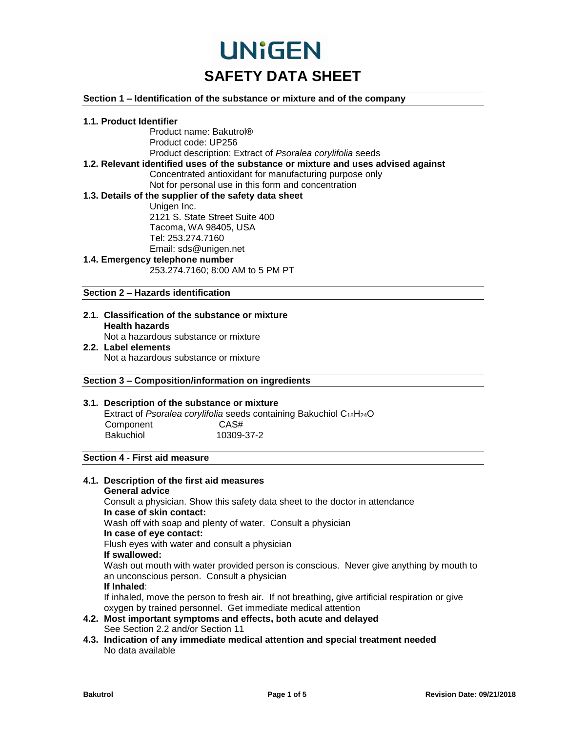## **Section 1 – Identification of the substance or mixture and of the company**

#### **1.1. Product Identifier**

Product name: Bakutrol® Product code: UP256 Product description: Extract of *Psoralea corylifolia* seeds **1.2. Relevant identified uses of the substance or mixture and uses advised against**  Concentrated antioxidant for manufacturing purpose only Not for personal use in this form and concentration **1.3. Details of the supplier of the safety data sheet** Unigen Inc. 2121 S. State Street Suite 400 Tacoma, WA 98405, USA Tel: 253.274.7160 Email: sds@unigen.net **1.4. Emergency telephone number**

253.274.7160; 8:00 AM to 5 PM PT

## **Section 2 – Hazards identification**

- **2.1. Classification of the substance or mixture Health hazards** Not a hazardous substance or mixture
- **2.2. Label elements** Not a hazardous substance or mixture

### **Section 3 – Composition/information on ingredients**

## **3.1. Description of the substance or mixture**

Extract of *Psoralea corylifolia* seeds containing Bakuchiol C<sub>18</sub>H<sub>24</sub>O Component CAS# Bakuchiol 10309-37-2

## **Section 4 - First aid measure**

#### **4.1. Description of the first aid measures General advice**

Consult a physician. Show this safety data sheet to the doctor in attendance **In case of skin contact:**

Wash off with soap and plenty of water. Consult a physician

### **In case of eye contact:**

Flush eyes with water and consult a physician

#### **If swallowed:**

Wash out mouth with water provided person is conscious. Never give anything by mouth to an unconscious person. Consult a physician

#### **If Inhaled**:

If inhaled, move the person to fresh air. If not breathing, give artificial respiration or give oxygen by trained personnel. Get immediate medical attention

- **4.2. Most important symptoms and effects, both acute and delayed** See Section 2.2 and/or Section 11
- **4.3. Indication of any immediate medical attention and special treatment needed** No data available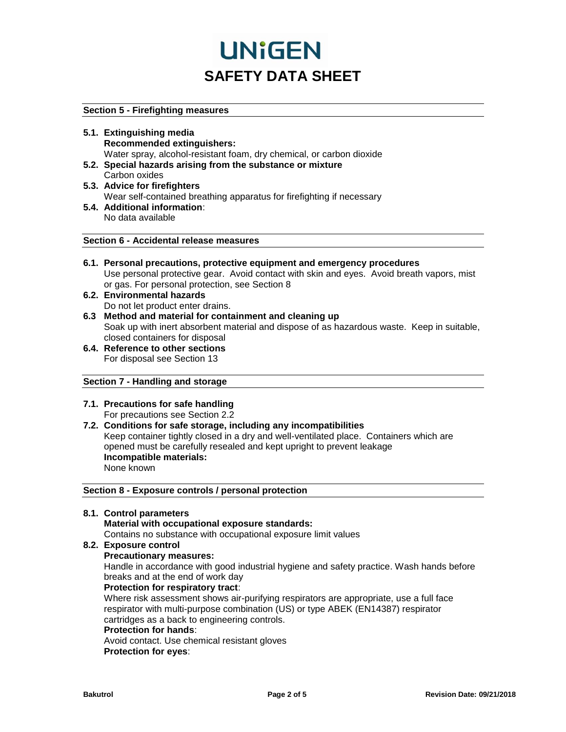### **Section 5 - Firefighting measures**

- **5.1. Extinguishing media Recommended extinguishers:** Water spray, alcohol-resistant foam, dry chemical, or carbon dioxide
- **5.2. Special hazards arising from the substance or mixture** Carbon oxides
- **5.3. Advice for firefighters** Wear self-contained breathing apparatus for firefighting if necessary **5.4. Additional information**:
	- No data available

### **Section 6 - Accidental release measures**

- **6.1. Personal precautions, protective equipment and emergency procedures** Use personal protective gear. Avoid contact with skin and eyes. Avoid breath vapors, mist or gas. For personal protection, see Section 8
- **6.2. Environmental hazards** Do not let product enter drains.
- **6.3 Method and material for containment and cleaning up** Soak up with inert absorbent material and dispose of as hazardous waste. Keep in suitable, closed containers for disposal
- **6.4. Reference to other sections** For disposal see Section 13

## **Section 7 - Handling and storage**

## **7.1. Precautions for safe handling**

For precautions see Section 2.2

## **7.2. Conditions for safe storage, including any incompatibilities** Keep container tightly closed in a dry and well-ventilated place. Containers which are opened must be carefully resealed and kept upright to prevent leakage **Incompatible materials:**

None known

#### **Section 8 - Exposure controls / personal protection**

**8.1. Control parameters Material with occupational exposure standards:** Contains no substance with occupational exposure limit values

## **8.2. Exposure control**

## **Precautionary measures:**

Handle in accordance with good industrial hygiene and safety practice. Wash hands before breaks and at the end of work day

#### **Protection for respiratory tract**:

Where risk assessment shows air-purifying respirators are appropriate, use a full face respirator with multi-purpose combination (US) or type ABEK (EN14387) respirator cartridges as a back to engineering controls.

## **Protection for hands**:

Avoid contact. Use chemical resistant gloves **Protection for eyes**: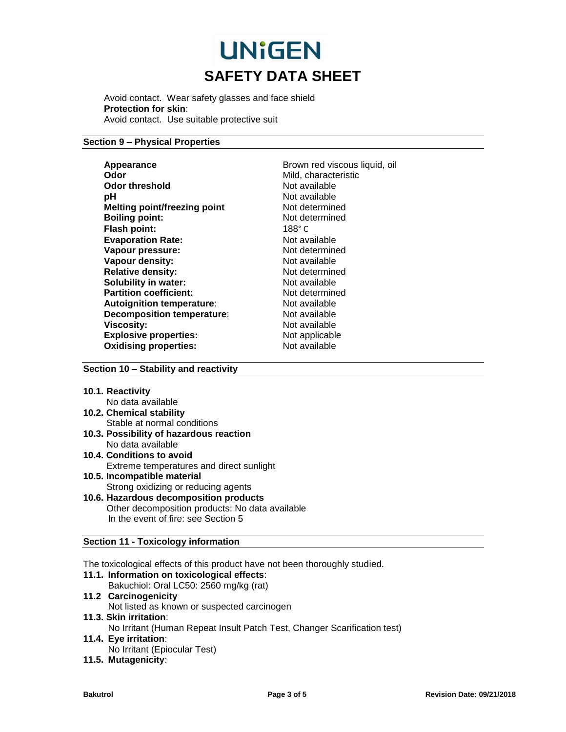Avoid contact. Wear safety glasses and face shield **Protection for skin**: Avoid contact. Use suitable protective suit

## **Section 9 – Physical Properties**

| Appearance                          | Brown red vis  |
|-------------------------------------|----------------|
| Odor                                | Mild, characte |
| <b>Odor threshold</b>               | Not available  |
| рH                                  | Not available  |
| <b>Melting point/freezing point</b> | Not determine  |
| <b>Boiling point:</b>               | Not determine  |
| <b>Flash point:</b>                 | $188^\circ$ C  |
| <b>Evaporation Rate:</b>            | Not available  |
| Vapour pressure:                    | Not determine  |
| Vapour density:                     | Not available  |
| <b>Relative density:</b>            | Not determine  |
| Solubility in water:                | Not available  |
| <b>Partition coefficient:</b>       | Not determine  |
| <b>Autoignition temperature:</b>    | Not available  |
| <b>Decomposition temperature:</b>   | Not available  |
| <b>Viscosity:</b>                   | Not available  |
| <b>Explosive properties:</b>        | Not applicable |
| <b>Oxidising properties:</b>        | Not available  |

**Appearance** Brown red viscous liquid, oil **Odor** Mild, characteristic **Not available** Not available **Not determined Boiling point:** Not determined **Not available Not determined Not available Not determined Not available Not determined Not available Not available Viscosity:** Not available **Not applicable** 

## **Section 10 – Stability and reactivity**

## **10.1. Reactivity**

No data available

**10.2. Chemical stability**

Stable at normal conditions

- **10.3. Possibility of hazardous reaction** No data available
- **10.4. Conditions to avoid** Extreme temperatures and direct sunlight
- **10.5. Incompatible material**  Strong oxidizing or reducing agents **10.6. Hazardous decomposition products**

Other decomposition products: No data available In the event of fire: see Section 5

## **Section 11 - Toxicology information**

The toxicological effects of this product have not been thoroughly studied.

- **11.1. Information on toxicological effects**: Bakuchiol: Oral LC50: 2560 mg/kg (rat)
- **11.2 Carcinogenicity** Not listed as known or suspected carcinogen **11.3. Skin irritation**:

No Irritant (Human Repeat Insult Patch Test, Changer Scarification test)

- **11.4. Eye irritation**: No Irritant (Epiocular Test)
- **11.5. Mutagenicity**: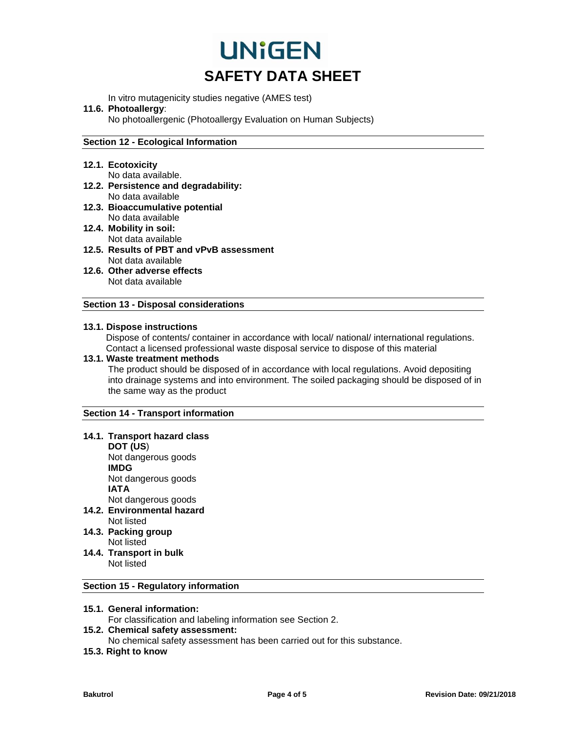In vitro mutagenicity studies negative (AMES test)

#### **11.6. Photoallergy**:

No photoallergenic (Photoallergy Evaluation on Human Subjects)

#### **Section 12 - Ecological Information**

### **12.1. Ecotoxicity**

No data available.

- **12.2. Persistence and degradability:** No data available
- **12.3. Bioaccumulative potential** No data available
- **12.4. Mobility in soil:** Not data available
- **12.5. Results of PBT and vPvB assessment** Not data available
- **12.6. Other adverse effects** Not data available

### **Section 13 - Disposal considerations**

### **13.1. Dispose instructions**

Dispose of contents/ container in accordance with local/ national/ international regulations. Contact a licensed professional waste disposal service to dispose of this material

#### **13.1. Waste treatment methods**

The product should be disposed of in accordance with local regulations. Avoid depositing into drainage systems and into environment. The soiled packaging should be disposed of in the same way as the product

### **Section 14 - Transport information**

- **14.1. Transport hazard class DOT (US**) Not dangerous goods **IMDG** Not dangerous goods **IATA** Not dangerous goods
- **14.2. Environmental hazard** Not listed
- **14.3. Packing group** Not listed
- **14.4. Transport in bulk** Not listed

#### **Section 15 - Regulatory information**

### **15.1. General information:**

For classification and labeling information see Section 2.

## **15.2. Chemical safety assessment:**

No chemical safety assessment has been carried out for this substance.

## **15.3. Right to know**